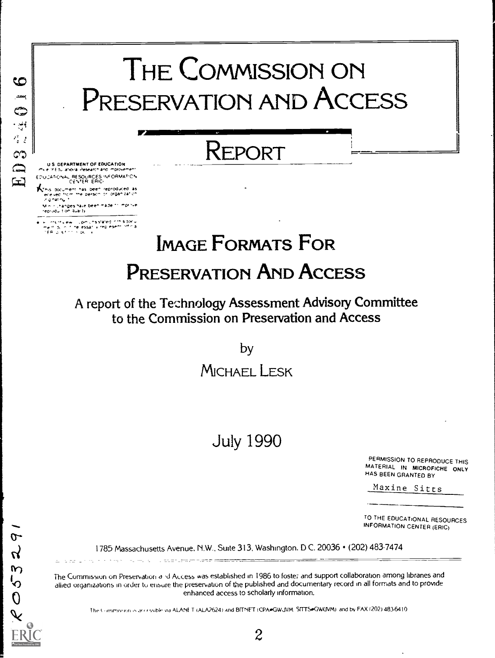# THE COMMISSION ON ಅ PRESERVATION AND ACCESS ED322401 REPORT U.S. DEPARTMENT OF EDUCATION<br>e a (du anoira i desearchiand, mprovement EDUCATONAL RESOURCES INFORMATION CiN.TER ER\$C. as Dee^ fectoavced as ece .ec "c ^e pese^ ?, "at ",

n ir Uhanges have been made to 'mprinke'.<br>Hodu tion quality

<sup>t</sup> <sup>s</sup> e\* .(>^ .\_^ssae". - <sup>e</sup> ^ ^e essa ,ec ese <sup>a</sup> EP <sup>s</sup>

 $\sigma$  $\mathcal{C}$ 

 $\mathbf{w}$  $\mathbf{L}_{\mathbf{O}}$  $\Omega$ 

# IMAGE FORMATS FOR PRESERVATION AND ACCESS

A report of the Tethnology Assessment Advisory Committee to the Commission on Preservation and Access

by

# MICHAEL LESK

# July 1990

PERMISSION TO REPRODUCE THIS MATERIAL IN MICROFICHE ONLY HAS BEEN GRANTED BY

Maxine Sitts

TO THE EDUCATIONAL RESOURCES INFORMATION CENTER (ERIC)

1785 Massachusetts Avenue, N.W., Suite 313, Washington, D C. 20036 • (202) 483-7474

The Commission on Preservation and Access was established in 1986 to foster and support collaboration among libranes and allied organizations in order to ensure the preservation of the published and documentary record in all formats and to provide enhanced access to scholarly information.

The Commission is accessible via ALANET (ALA2624) and BITNET (CPA. GWJVM SITTS. GWUVM) and by FAX (202) 483-6410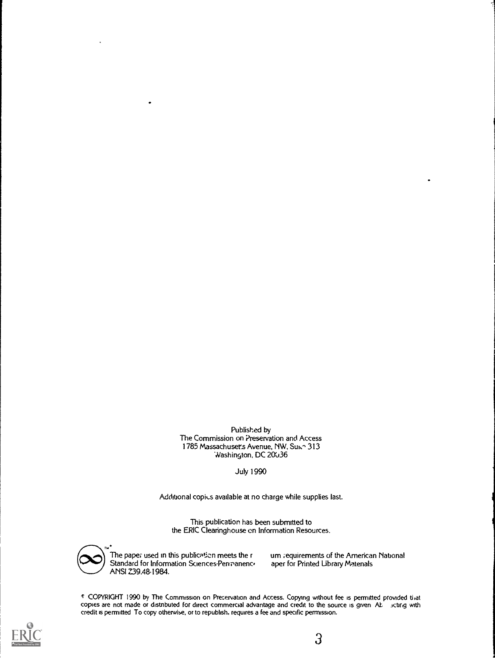Published by The Commission on Preservation and Access 1785 Massachuset's Avenue, NW, Suich 313 Washington, DC 20036

July 1990

Additional copius available at no charge while supplies last.

This publication has been submitted to the ERIC Clearinghouse on Information Resources.



The paper used in this publication meets the r Standard for Information Sciences.Penranenc. ANSI Z39.48.1984.

um requirements of the American National aper for Printed Library Matenals

c COPYRIGHT 1990 by The Commission on Precervation and Access. Copying without fee is permitted provided that copies are not made or distnbuted for direct commercial advantage and credit to the source is given At icbrig with credit is permitted To copy otherwise, or to republish, requires a fee and specific permission.

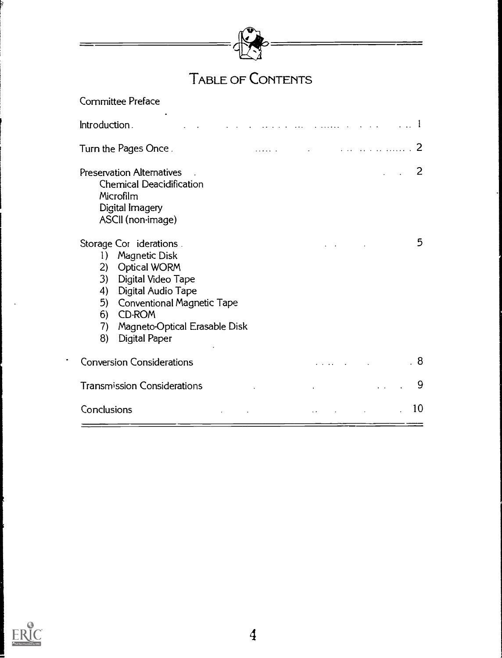

# TABLE OF CONTENTS

| Committee Preface                                                                                                                                                                                                                                            |                                                                                                                                                                                                                                                                                                                                                                                                            |
|--------------------------------------------------------------------------------------------------------------------------------------------------------------------------------------------------------------------------------------------------------------|------------------------------------------------------------------------------------------------------------------------------------------------------------------------------------------------------------------------------------------------------------------------------------------------------------------------------------------------------------------------------------------------------------|
| Introduction.                                                                                                                                                                                                                                                |                                                                                                                                                                                                                                                                                                                                                                                                            |
| Turn the Pages Once.                                                                                                                                                                                                                                         | $\mathcal{L} = \{ \mathbf{r}_1, \mathbf{r}_2, \ldots, \mathbf{r}_N, \mathbf{r}_N, \mathbf{r}_N, \mathbf{r}_N, \mathbf{r}_N, \mathbf{r}_N, \mathbf{r}_N, \mathbf{r}_N, \mathbf{r}_N, \mathbf{r}_N, \mathbf{r}_N, \mathbf{r}_N, \mathbf{r}_N, \mathbf{r}_N, \mathbf{r}_N, \mathbf{r}_N, \mathbf{r}_N, \mathbf{r}_N, \mathbf{r}_N, \mathbf{r}_N, \mathbf{r}_N, \mathbf{r}_N, \mathbf{r}_N, \mathbf{r}_N$<br>2 |
| <b>Preservation Alternatives</b><br><b>Chemical Deacidification</b><br>Microfilm<br>Digital Imagery<br>ASCII (non-image)                                                                                                                                     | 2                                                                                                                                                                                                                                                                                                                                                                                                          |
| Storage Cor iderations.<br>Magnetic Disk<br>1)<br>Optical WORM<br>2)<br>Digital Video Tape<br>3)<br>Digital Audio Tape<br>4)<br><b>Conventional Magnetic Tape</b><br>5)<br><b>CD-ROM</b><br>6)<br>Magneto-Optical Erasable Disk<br>7)<br>Digital Paper<br>8) | 5                                                                                                                                                                                                                                                                                                                                                                                                          |
| <b>Conversion Considerations</b>                                                                                                                                                                                                                             | . 8                                                                                                                                                                                                                                                                                                                                                                                                        |
| <b>Transmission Considerations</b>                                                                                                                                                                                                                           | 9                                                                                                                                                                                                                                                                                                                                                                                                          |
| Conclusions                                                                                                                                                                                                                                                  | 10                                                                                                                                                                                                                                                                                                                                                                                                         |

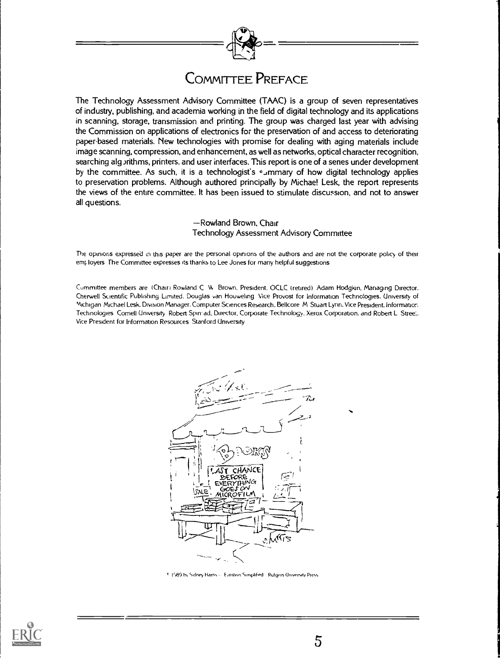

### COMMITTEE PREFACE

The Technology Assessment Advisory Committee (TAAC) is a group of seven representatives of industry, publishing, and academia working in the field of digital technology and its applications in scanning, storage, transmission and printing. The group was charged last year with advising the Commission on applications of electronics for the preservation of and access to deteriorating paper-based materials. New technologies with promise for dealing with aging materials include image scanning, compression, and enhancement, as well as networks, optical character recognition, searching alg *jithms*, printers, and user interfaces. This report is one of a senes under development by the committee. As such, it is a technologist's summary of how digital technology applies to preservation problems. Although authored principally by Michae! Lesk, the report represents the views of the entire committee. It has been issued to stimulate discussion, and not to answer all questions.

> -Rowland Brown, Chair Technology Assessment Advisory Committee

The opinions expressed in this paper are the personal opinions of the authors and are not the corporate policy of their employers. The Committee expresses its thanks to Lee Jones for many helpful suggestions

Committee members are (Chain Rowland C V Brown. President. OCLC (retired) Adam Hodgkin, Managing Director. Cherwell Scientific Publishing Limited, Douglas van Houwehng Vice Provost for Information Technologies. University of Michigan Michael Lesk. Division Manager. Computer Sciences Research. Bellcore M Stuart Lynn. Vice President. Information Technologies Cornell Unwersity Robert Spin-ad. Director, Corporate Technology, Xerox Corporation. and Robert L Stree.. Vice President for Information Resources Stanford Unive:sity



'i8 9 tn, Sqiney Hams Emstern Sleoplified Rutgers Unwersay Press

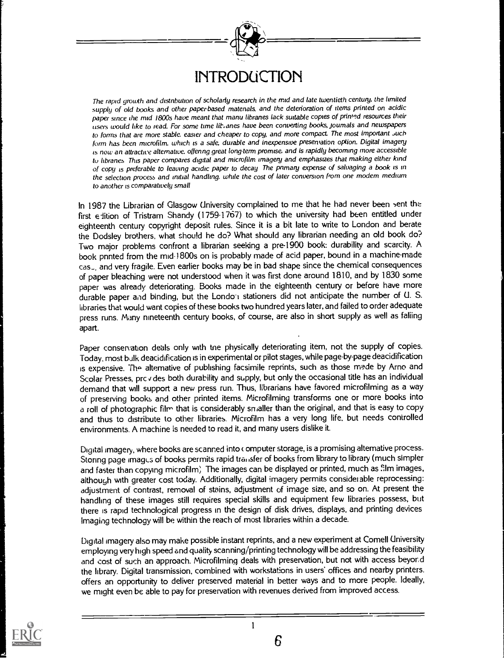

The rapid growth and distnbution of scholarly research in the mid and late twentieth century, the limited supplu of old books and other paperbased matenals. and the deterioration of items printed on acidic paper since the mid 1800s have meant that manu libranes lack suitable copies of printed resources their users would like to read. For some time lit.anes have been convening books, joumals and newspapers to forms that are more stable, easier and cheaper to copy, and more compact. The most important such form has been microfilm, which is a safe, durable and inexpensive presentation option. Digital imagery is now an attractive alternative. offenng great long-term promise, and is rapidly becoming more accessible to hbranes This paper compares digital and microfilm imagery and emphasizes that making either kind of copy is preferable to leaving acidic paper to decay The pnmary expense of salvaging a book Is in the selection process and initial handling. while the cost of later conversion from one modem medium to another is comparatively small

In 1987 the Librarian of Glasgow University complained to me that he had never been sent the first edition of Tristram Shandy (1759-1767) to which the university had been entitled under eighteenth century copyright deposit rules. Since it is a bit late to write to London and berate the Dodsley brothers, what should he do? What should any librarian needing an old book do? Two major problems confront a librarian seeking a pre-1900 book: durability and scarcity. A book pnnted from the mid-1800s on is probably made of acid paper, bound in a machine-made cas\_, and very fragile. Even earlier books may be in bad shape since the chemical consequences of paper bleaching were not understood when it was first done around 1810, and by 1830 some paper was already deteriorating. Books made in the eighteenth century or before have more durable paper and binding, but the Londo<sup>-</sup>i stationers did not anticipate the number of U. S. libraries that would want copies of these books two hundred years later, and failed to order adequate press runs. Many nineteenth century books, of course, are also in short supply as well as faliing apart.

Paper conservation deals only with tne physically deteriorating item, not the supply of copies. Today, most bulk deacidification is in experimental or pilot stages, while page-by-page deacidification is expensive. The alternative of publishing facsimile reprints, such as those made by Arno and Scolar Presses, prc v des both durability and supply, but only the occasional title has an individual demand that will support a new press run. Thus, librarians have favored microfilming as a way of preserving books and other printed items. Microfilming transforms one or more books into a roll of photographic film that is considerably smaller than the original, and that is easy to copy and thus to distribute to other libraries. Microfilm has a very long life, but needs controlled environments. A machine is needed to read it, and many users dislike it.

Digital imagery, where books are scanned into  $\epsilon$  omputer storage, is a promising altemative process. Storing page images of books permits rapid transfer of books from library to library (much simpler and faster than copying microfilm) The images can be displayed or printed, much as film images, although with greater cost today. Additionally, digital imagery permits considerable reprocessing: adjustment of contrast, removal of stains, adjustment of image size, and so on. At present the handling of these images still requires special skills and equipment few libraries possess, but there is rapid technological progress in the design of disk drives, displays, and printing devices Imaging technology will be within the reach of most libraries within a decade.

Digital imagery also may make possible instant reprints, and a new experiment at Comell University employing very high speed and quality scanning/printing technology will be addressing the feasibility and cost of such an approach. Microfilming deals with preservation, but not with access beyond the library. Digital transmission, combined with workstations in users' offices and nearby printers. offers an opportunity to deliver preserved material in better ways and to more people. Ideally, we might even be able to pay for preservation with revenues derived from improved access.

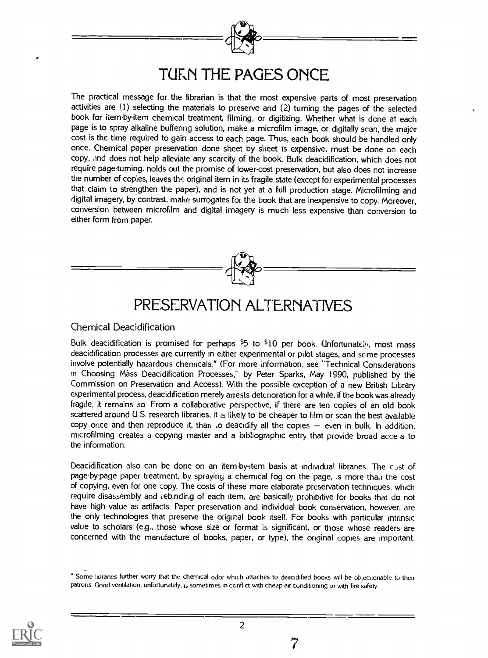

The practical message for the librarian is that the most expensive parts of most preservation activities are (1) selecting the materials to preserve and (2) turning the pages of the selected book for itemby-item chemical treatment, filming, or digitizing. Whether what is done at each page is to spray alkaline buffenng solution, make a microfilm image, or digitally scan, the major cost is the time required to gain access to each page. Thus, each book should be handled only once. Chemical paper preservation done sheet by sheet is expensive, must be done on each copy, and does not help alleviate any scarcity of the book. Bulk deacidification, which does not require page-turning. holds out the promise of lower-cost preservation, but also does not increase the number of copies, leaves the original item in its fragile state (except for experimental processes that claim to strengthen the paper), and is not yet at a full production stage. Microfilming and digital imagery, by contrast, make surrogates for the book that are inexpensive to copy. Moreover, conversion between microfilm and digital imagery is much less expensive than conversion to either form from paper.



### PRESERVATION ALTERNATIVES

#### Chemical Deacidification

Bulk deacidification is promised for perhaps  $$5$  to  $$10$  per book. Unfortunately, most mass deacidification processes are currently in either experimental or pilot stages, and some processes involve potentially hazardous chemicals.\* (For more information, see "Technical Considerations in Choosing Mass Deacidification Processes," by Peter Sparks, May 1990, published by the Commission on Preservation and Access). With the possible exception of a new British Library experimental process, deacidification merely arrests deterioration for a while, if the book was already fragile, it remains so From a collaborative perspective, if there are ten copies of an old book scattered around U S. research libraries, it is likely to be cheaper to film or scan the best available copy once and then reproduce it, than to deacidify all the copies  $-$  even in bulk. In addition, microfilming creates a copying master and a bibliographic entry that provide broad acce s to the information.

Deacidification also can be done on an item-by-item basis at individual libranes. The cust of page-by-page paper treatment, by spraying a chemical fog on the page, is more than the cost of copying, even for one copy. The costs of these more elaborate preservation techniques, which require disassembly and cebinding of each item, are basically prohibitive for books that do not have high value as artifacts. Paper preservation and individual book conservation, however, are the only technologies that preserve the original book itself. For books with particular intrinsic value to scholars (e.g., those whose size or format is significant, or those whose readers are concerned with the manufacture of books, paper, or type), the onainal copies are important.



Some huranes further worry that the chemical odor which attaches to deacidified books will be obiecuonable to their patrons Good ventilation, unfortunately, i<sub>2</sub> sometimes in conflict with cheap air conditioning or with fire safety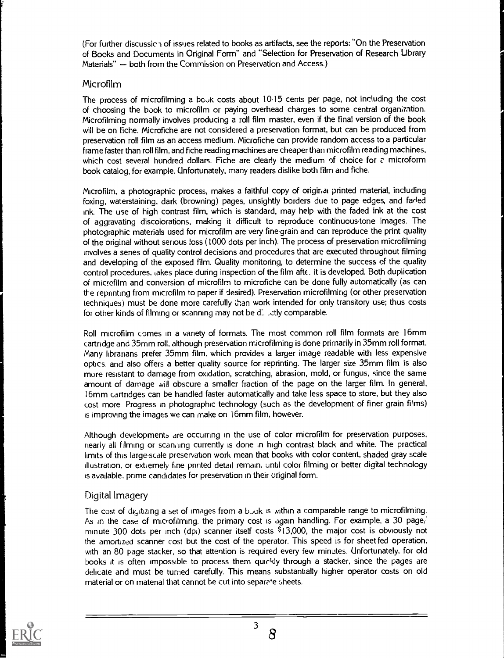(For further discussic 1 of issues related to books as artifacts, see the reports: "On the Preservation of Books and Documents in Original Form" and "Selection for Preservation of Research Library Materials"  $-$  both from the Commission on Preservation and Access.)

#### Microfilm

The process of microfilming a book costs about 10-15 cents per page, not including the cost of choosing the book to microfilm or paying overhead charges to some central organization. Microfilming normally involves producing a roll film master, even if the final version of the book will be on fiche. Microfiche are not considered a preservation format, but can be produced from preservation roll film as an access medium. Microfiche can provide random access to a particular frame faster than roll film, and fiche reading machines are cheaper than microfilm reading machines, which cost several hundred dollars. Fiche are clearly the medium of choice for a microform book catalog, for example. Unfortunately, many readers dislike both film and fiche.

Microfilm, a photographic process, makes a faithful copy of original printed material, including foxing, waterstaining, dark (browning) pages, unsightly borders due to page edges, and faded ink. The use of high contrast film, which is standard, may help with the faded ink at the cost of aggravating discolorations, making it difficult to reproduce continuous.tone images. The photographic materials used for microfilm are very fine-grain and can reproduce the print quality of the original without serious loss (1000 dots per inch). The process of preservation microfilming involves a series of quality control decisions and procedures that are executed throughout filming and developing of the exposed film. Quality monitoring, to determine the success of the quality control procedures, takes place during inspection of the film afk. it is developed. Both duplication of microfilm and conversion of microfilm to microfiche can be done fully automatically (as can the reprinting from microfilm to paper if desired). Preservation microfilming (or other preservation techniques) must be done more carefully than work intended for only transitory use; thus costs for other kinds of filming or scanning may not be d:. \_ctly comparable.

Roll microfilm comes in a vanety of formats. The most common roll film formats are 16mm cartndge and 35mm roll, although preservation microfilming is done primarily in 35mm roll format. Many librarians prefer 35mm film, which provides a larger image readable with less expensive optics, and also offers a better quality source for reprinting. The larger size 35mm film is also more resistant to damage from oxidation, scratching, abrasion, mold, or fungus, since the same amount of damage will obscure a smaller fraction of the page on the larger film. In general, 16mm cartridges can be handled faster automatically and take less space to store, but they also cost more Progress in photographic technology (such as the development of finer grain films) is improving the images we can make on 16mm film, however.

Although developments are occurring in the use of color microfilm for preservation purposes, nearly all filming or scam-ling currently is done in high contrast black and white. The practical limits of this large scale preservation work mean that books with color content, shaded gray scale illustration, or extiemely fine printed detail remain, until color filming or better digital technology is available, prime candidates for preservation in their original form.

#### Digital Imagery

The cost of digitizing a set of images from a book is within a comparable range to microfilming. As in the case of microfilming, the primary cost is again handling. For example, a 30 page/ minute 300 dots per inch (dpi) scanner itself costs \$13,000, the major cost is obviously not the amortized scanner cost but the cost of the operator. This speed is for sheet-fed operation, with an 80 page stacker, so that attention is required every few minutes. Unfortunately, for old books it is often impossible to process them quickly through a stacker, since the pages are delicate and must be turned carefully. This means substantially higher operator costs on old material or on material that cannot be cut into separe e sheets.

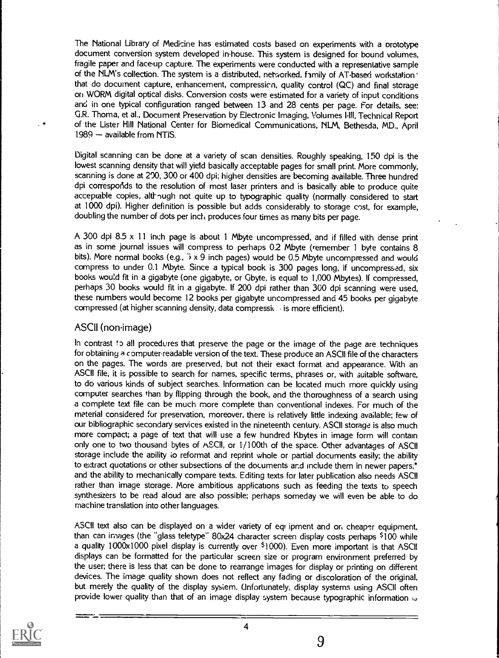The National Library of Medicine has estimated costs based on experiments with a brototype document conversion system developed in-house. This system is designed for bound volumes, fragile paper and face-up capture. The experiments were conducted with a representative sample of the NLM's collection. The system is a distributed, networked, family of AT-based workstation ' that do document capture, enhancement, compression, quality control (QC) and final storage on WORM digital optical disks. Conversion costs were estimated for a variety of input conditions and in one typical configuration ranged between 13 and 28 cents per page. For details, see: G.R. Thoma, et al., Document Preservation by Electronic Imaging, Volumes 1-111, Technical Report of the Lister Hill National Center for Biomedical Communications, NLM, Bethesda, MD., April  $1989 -$  available from NTiS.

Digital scanning can be done at a variety of scan densities. Roughly speaking, 150 dpi is the lowest scanning density that will yietd basically acceptable pages for small print. More commonly, scanning is done at 200, 300 or 400 dpi; higher densities are becoming available. Three hundred dpi corresporids to the resolution of most laser printers and is basically able to produce quite acceptable copies, altl-ough not quite up to typographic quality (normally considered to start at 1000 dpi). Higher definition is possible but adds considerably to storage cost, for example, doubling the number of dots per inch produces four times as many bits per page.

A 300 dpi 8.5 x 11 inch page is about 1 Mbyte uncompressed, and if filled with dense print as in some journal issues will compress to perhaps 0.2 Mbyte (remember 1 byte contains 8 bits). More normal books (e.g.,  $\frac{1}{2} \times 9$  inch pages) would be 0.5 Mbyte uncompressed and would compress to under 0.1 Mbyte. Since a typical book is 300 pages long, if uncompressed, six books wou'd fit in a gigabyte (one gigabyte, or Gbyte, is equal to 1,000 Mbytes). If compressed, perhaps 30 books would fit in a gigabyte. If 200 dpi rather than 300 dpi scanning were used, these numbers would become 12 books per gigabyte uncompressed and 45 books per gigabyte compressed (at higher scanning density, data compressk . is more efficient).

#### ASCII (non-image)

In contrast to all procedures that preserve the page or the image of the page are techniques for obtaining a computer-readable version of the text. These produce an ASCII file of the characters on the pages. The words are preserved, but not their exact format and appearance. With an ASCII file, it is possible to search for names, specific terms, phrases or, with suitable software, to do various kinds of subject searches. Information can be located much more quickly using computer searches than by flipping through the book, and the thoroughness of a search using a complete text file can be much more complete than conventional indexes. For much of the material considered for preservation, moreover, there is relatively little indexing available; few of our bibliographic secondary services existed in the nineteenth century. ASCII storage is also much more compact; a page of text that will use a few hundred Kbytes in image form will contain only one to two thousand bytes of ASCII, or 1/100th of the space. Other advantages of ASCII storage include the ability to reformat and reprint whole or partial documents easily; the ability to extract quotations or other subsections of the documents and include them in newer papers,\* and the ability to mechanically compare texts. Editing texts for later publication also needs ASCII rather than image storage. More ambitious applications such as feeding the texts to speech synthesizers to be read aloud are also possible; perhaps someday we will even be able to do machine translation into other languages.

ASCII text also can be displayed on a wider variety of equipment and on cheaper equipment, than can images (the "glass teletype" 80x24 character screen display costs perhaps \$100 while a quality 1000x1000 pixel display is currently over \$1000). Even more important is that ASCII displays can be formatted for the particular screen size or program environment preferred by the user; there is less that can be done to rearrange images for display or printing on different devices. The image quality shown does not reflect any fading or discoloration of the original, but merely the quality of the display system. Unfortunately, display systems using ASCII often provide lower quality than that of an image display system because typographic information is

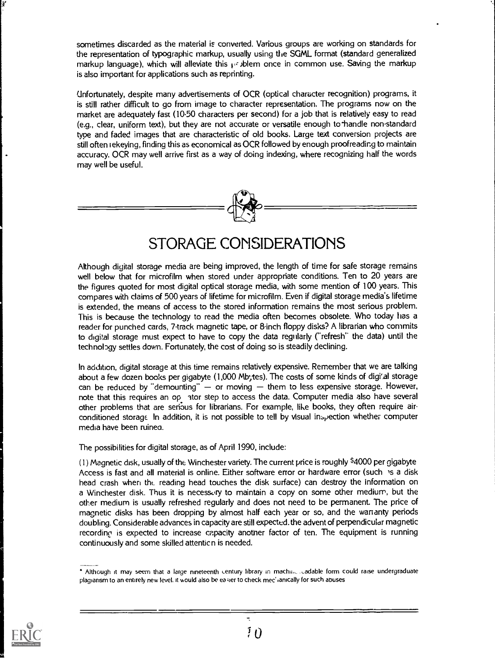sometimes discarded as the material is converted. Various groups are working on standards for the representation of typographic markup, usually using the SGML format (standard generalized markup language), which will alleviate this problem once in common use. Saving the markup is also important for applications such as reprinting.

Unfortunately, despite many advertisements of OCR (optical character recognition) programs, it is still rather difficult to go from image to character representation. The programs now on the market are adequately fast (1050 characters per second) for a job that is relatively easy to read (e.g., clear, uniform text), but they are not accurate or versatile enough to-handle non-standard type and faded images that are characteristic of old books. Large text conversion projects are still often iekeying, finding this as economical as OCR followed by enough proofreading to maintain accuracy. OCR may well arrive first as a way of doing indexing, where recognizing half the words may well be useful.



### STORAGE CONSIDERATIONS

Although digital storage media are being improved, the length of time for safe storage remains well below that for microfilm when stored under appropriate conditions. Ten to 20 years are the figures quoted for most digital optical storage media, with some mention of 100 years. This compares with claims of 500 years of lifetime for microfilm. Even if digital storage media's lifetime is extended, the means of access to the stored information remains the most serious problem. This is because the technology to read the media often becomes obsolete. Who today has a reader for punched cards, 7-track magnetic tape, or 8-inch floppy disks? A librarian who commits to digital storage must expect to have to copy the data regularly ("refresh" the data) until the technology settles down. Fortunately, the cost of doing so is steadily declining.

In addition, digital storage at this time remains relatively expensive. Remember that we are talking about a few dozen books per gigabyte (1,000 Mbytes). The costs of some kinds of digi'al storage can be reduced by "demounting"  $-$  or moving  $-$  them to less expensive storage. However, note that this requires an op ator step to access the data. Computer media also have several other problems that are serious for librarians. For example, like books, they often require airconditioned storage In addition, it is not possible to tell by visual inspection whether computer media have been ruinea.

The possibilities for digital storage, as of April 1990, include:

(1) Magnetic disk, usually of the Winchester variety. The current price is roughly \$4000 per gigabyte Access is fast and all material is online. Either software error or hardware error (such is a disk head crash when tht. reading head touches the disk surface) can destroy the information on a Winchester disk. Thus it is necessory to maintain a copy on some other medium, but the other medium is usually refreshed regularly and does not need to be permanent. The price of magnetic disks has been dropping by almost half each year or so, and the wananty periods doubling. Considerable advances in capacity are still expected. the advent of perpendicular magnetic recording is expected to increase capacity another factor of ten. The equipment is running continuously and some skilled attenticn is needed.



<sup>\*</sup> Although it may seem that a large nineteenth century library in maching cadable form could raise undergraduate plagiarism to an entirely new level, it would also be easier to check mec' (anically for such abuses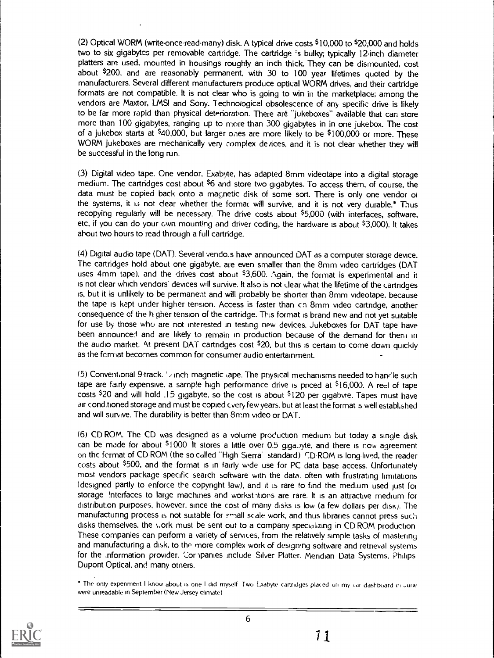(2) Optical WORM (write-once-read-many) disk. A typical drive costs \$10,000 to \$20,000 and holds two to six gigabytcs per removable cartridge. The cartridge 's bulky; typically 12inch diameter platters are used, mounted in housings roughly an inch thick They can be dismounted, cost about \$200, and are reasonably permanent, with 30 to 100 year lifetimes quoted by the manufacturers. Several different manufacturers produce optical WORM drives, and their cartridge formats are not compatible. It is not clear who is going to win in the marketplace; among the vendors are Maxtor, LMSI and Sony. Iechnoiogical obsolescence of any specific drive is likely to be far more rapid than physical detenoration. There are "jukeboxes" available that can store more than 100 gigabytes, ranging up to more than 300 gigabytes in in one jukebox. The cost of a jukebox starts at \$40,000, but larger ones are more likely to be \$100,000 or more. These WORM jukeboxes are mechanically very complex devices, and it is not clear whether they will be successful in the long run.

(3) Digital video tape. One vendor, Exabyte, has adapted 8mm videotape into a digital storage medium. The cartridges cost about <sup>\$</sup>6 and store two gigabytes. To access them, of course, the data must be copied back onto a magnetic disk of some sort. There is only one vendor oi the systems, it is not clear whether the format will survive, and it is not very durable.\* Thus recopying regularly will be necessary. The drive costs about \$5,000 (with interfaces, software, etc, if you can do your own mounting and driver coding, the hardware is about \$3,000). It takes about two hours to read through a full cartridge.

(4) Digital audio tape (DAT), Several vendo.s have announced DAT as a computer storage device. The cartridges hold about one gigabyte, are even smaller than the 8mm video cartridges (DAT uses 4mm tape), and the drives cost about \$3,600. Again, the format is experimental and it is not clear which vendors' devices will survive. It also is not clear what the lifetime of the cartridges is, but it is unlikely to be permanent and will probably be shorter than 8mm videotape, because the tape is kept under higher tension. Access is faster than cn 8mm video cartridge, another consequence of the h gher tension of the cartridge. This format is brand new and not yet suitable for use by those who are not interested in testing new devices. Jukeboxes for DAT tape have been announced and are likely to remain in production because of the demand for thent in the audio market. At present DAT cartridges cost  $$20$ , but this is certain to come down quickly as the format becomes common for consumer audio entertainment.

(5) Conventional 9-track. '2 inch magnetic tape. The pnysical mechanisms needed to handle such tape are fairly expensive, a sample high performance drive is priced at  $$16,000$ . A reel of tape costs \$20 and will hold .15 gigabyte, so the cost is about \$120 per gigabyte. Tapes must have air conditioned storage and must be copied cvery few years. but at least the format is well establ,shed and will survive. The durability is better than 8mm video or DAT.

(6) CD-ROM. The CD was designed as a volume production medium but today a single disk can be made for about  $$1000$  It stores a little over 0.5 giga. yte, and there is now agreement on the format of CD ROM (the so called "High Sierra' standard) r.D-ROM is long-lived, the reader costs about \$500, and the format is in fairly wide use for PC data base access. Unfortunately most vendors package specific search software witn the data, often with frustrating limitations (designed partly to enforce the copyright law), and it is rare to find the medium used just for storage Interfaces to large machines and worksthtions are rare. It is an attractive medium for distribution purposes, however, since the cost of many disks is low (a few dollars per disk), The manufacturing process is not suitable for small scale work, and thus libraries cannot press such disks themselves, the work must be sent out to a company specializing in CD ROM production These companies can perform a variety of services, from the relatively simple tasks of mastering and manufacturing a disk, to the more complex work of designing software and retrieval systems for the information provider. Cor ipanies include Silver Platter, Meridian Data Systems, Philips Dupont Optical, and many otners.



<sup>\*</sup> The only expenment I know about is one I did myself. Two Exabyte cartridges placed on my car dashboard in June were unreadable in September (New Jersey climate)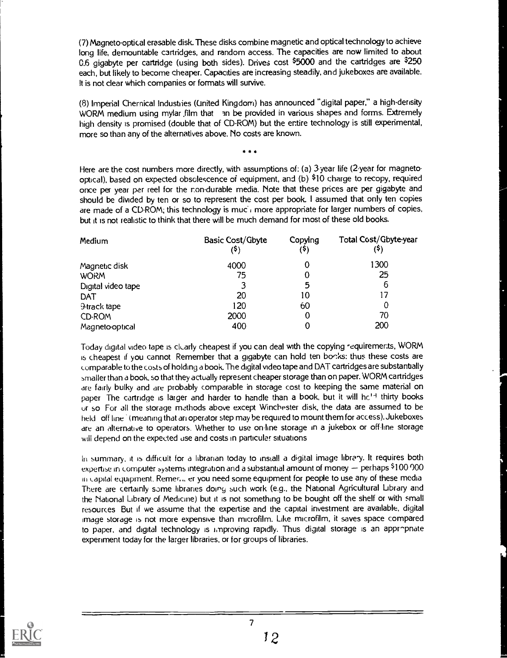(7) Magneto-optical erasable disk. These disks combine magnetic and optical technology to achieve long life, demountable cartridges, and random access. The capacities are now limited to about 0.6 gigabyte per cartridge (using both sides). Drives cost  $$5000$  and the cartridges are  $$250$ each, but likely to become cheaper. Capacities are increasing steadily, and jukeboxes are available. It is not clear which companies or formats will survive.

(8) Imperial Chemical Industries (United Kingdom) has announced "digital paper," a high-density WORM medium using mylar film that an be provided in various shapes and forms. Extremely high density is promised (double that of CD-ROM) but the entire technology is still experimental, more so than any of the alternatives above. No costs are known.

\*

Here are the cost numbers more directly, with assumptions of: (a) 3-year life (2-year for magnetooptical), based on expected obsolescence of equipment, and (b) \$10 charge to recopy, required once per year par reel for the nondurable media. Note that these prices are per gigabyte and should be divided by ten or so to represent the cost per book. I assumed that only ten copies are made of a CD-ROM; this technology is muc $\overline{I}$  more appropriate for larger numbers of copies, but it is not realistic to think that there will be much demand for most of these old books.

| Medium             | Basic Cost/Gbyte<br>(\$) | Copying<br>(5) | Total Cost/Gbyte-year<br>(\$) |
|--------------------|--------------------------|----------------|-------------------------------|
| Magnetic disk      | 4000                     |                | 1300                          |
| <b>WORM</b>        | 75                       |                | 25                            |
| Digital video tape | 3                        | 5              | 6                             |
| DAT                | 20                       | 10             |                               |
| 9-track tape       | 120                      | 60             | 0                             |
| CD-ROM             | 2000                     |                | 70                            |
| Magneto-optical    | 400                      |                | 200                           |

Today digital video tape is clearly cheapest if you can deal with the copying requirements, WORM is cheapest if you cannot Remember that a gigabyte can hold ten books: thus these costs are comparable to the costs of holding a book. The digital video tape and DAT cartridges are substantially smaller than a book, so that they actually represent cheaper storage than on paper. WORM cartridges are fairly bulky and are probably comparable in storage cost to keeping the same material on paper. The cartridge is larger and harder to handle than a book, but it will he<sup>14</sup> thirty books ur so For all the storage methods above except Winchester disk, the data are assumed to be held off line (meaning that an operator step may be required to mount them for access). Jukeboxes are an alternative to operators. Whether to use on-line storage in a jukebox or off line storage will depend on the expected use and costs in particular situations

In summary, it is difficult for a librarian today to install a digital image library. It requires both expertise in computer systems integration and a substantial amount of money  $-$  perhaps \$100 000 ifi capital equipment. Remen, er you need some equipment for people to use any of these media There are certainly some libraries doing such work (e.g., the National Agricultural Library and the National Library of Mediane) but it is not something to be bought off the shelf or with small resources But if we assume that the expertise and the capital investment are available, digital image storage is not more expensive than microfilm. Like microfilm, it saves space compared to paper, and digital technology is improving rapidly. Thus digital storage is an appr-pnate experiment today for the larger libraries, or for groups of libraries.

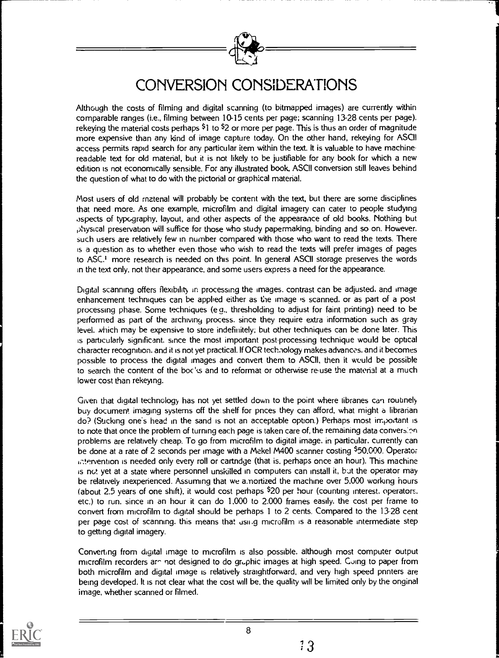

### CONVERSION CONSIDERATIONS

Although the costs of filming and digital scanning (to bitrnapped images) are currently within comparable ranges (i.e., filming between 10-15 cents per page; scanning 13-28 cents per page). rekeying the material costs perhaps  $51$  to  $52$  or more per page. This is thus an order of magnitude more expensive than any kind of image capture today. On the other hand, rekeying for ASCII access permits rapid search for any particular item within the text. It is valuable to have machinereadable text for old material, but it is not likely to be justifiable for any book for which a new edition is not economically sensible. For any illustrated book, ASCII conversion still leaves behind the question of what to do with the pictorial or graphical material.

Most users of old material will probably be content with the text, but there are some disciplines that need more. As one example, microfilm and digital imagery can cater to people studying .ispects of typography, layout, and other aspects of the appearance of old books. Nothing but ,)hysical preservation will suffice for those who study papermaking, binding and so on. However. such users are relatively few in number compared with those who want to read the texts. There is a question as to whether even those who wish to read the texts will prefer images of pages to ASC.' more research is needed on this point. In general ASCII storage preserves the words in the text only. not their appearance, and some users express a need for the appearance.

Digital scanning offers flexibility in processing the images. contrast can be adjusted. and image enhancement techniques can be applied either as the image is scanned. or as part of a post processing phase. Some techniques (e a., thresholding to adjust for faint printing) need to be performed as part of the archwiny process. since they require extra information such as gray level. which may be expensive to store indefinitely; but other techniques can be done later. This is particularly significant. since the most important post-processing technique would be optical character recognition. and it is not yet practical. If OCR technology makes advances, and it becomes possible to process the digital images and convert them to ASCII, then it would be possible to search the content of the boc's and to reformat or otherwise re-use the material at a much lower cost than rekeying.

Given that digital technology has not yet settled down to the point where libranes can routinely buy document imaging systems off the shelf for pnces they can afford, what might a librarian do? (Sticking one's head in the sand is not an acceptable option.) Perhaps most important is to note that once the problem of turning each page is taken care of, the remaining data conversion problems are relatively cheap. To go from microfilm to digital image. in particular. currently can be done at a rate of 2 seconds per image with a Mekel M400 scanner costing \$50,000. Operator c.tervention is needed only every roll or cartridge (that is, perhaps once an hour). This machine is not yet at a state where personnel unskilled in computers can install it, but the operator may be relatively inexperienced. Assuming that we a.nortized the machine over 5.000 working hours (about 2.5 years of one shift), it would cost perhaps  $$20$  per hour (counting interest. operators. etc.) to run. since in an hour it can do 1.000 to 2.000 frames easily. the cost per frame to convert from microfilm to digital should be perhaps 1 to 2 cents. Compared to the 13-28 cent per page cost of scanning. this means that usii.g microfilm is a reasonable intermediate step to getting digital imagery.

Converting from digital image to microfilm is also possible. although most computer output microfilm recorders are not designed to do gruphic images at high speed. Cuing to paper from both microfilm and digital image is relatively straightforward, and very high speed pnnters are being developed. It is not dear what the cost will be, the quality will be limited only by the onginal image, whether scanned or filmed.

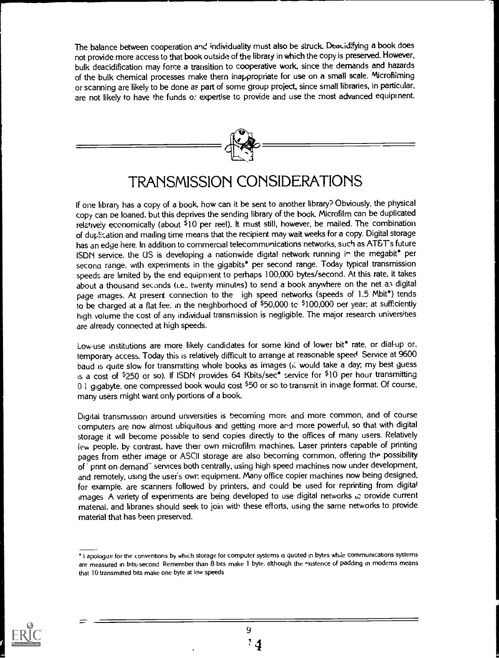The balance between cooperation and individuality must also be struck. Deacidifying a book does not provide more access to that book outside of the library in which the copy is preserved. However, bulk deacidification may force a transition to cooperative work, since the demands and hazards of the bulk chemical processes make them inappropriate for use on a small scale. Microfilming or scanning are likely to be done as part of some group project, since small libraries, in particular, are not likely to have the funds o: expertise to provide and use the most advanced equipment.



### TRANSMISSION CONSIDERATIONS

If one library has a copy of a book, how can it be sent to another library? Obviously, the physical copy can be loaned, but this deprives the sending library of the hook. Microfilm can be duplicated relatively economically (about \$10 per reel). It must still, however, be mailed. The combination of duplication and mailing time means that the recipient may wait weeks for a copy. Digital storage has an edge here. In addition to commercial telecommunications networks, such as AT&Ts future ISDN service. the US is developing a nationwide digital network running in the megabit\* per second range. with experiments in the gigabits\* per second range. Today typical transmission speeds are hmited by the end equipment to perhaps 100,000 bytes/second. At this rate, it takes about a thousand seconds (i.e.. twenty minutes) to send a book anywhere on the net a3 digital page images. At present connection to the igh speed networks (speeds of 1.5 Mbit\*) tends to be charged at a flat fee. in the neighborhood of  $$50,000$  to  $$100,000$  per year; at sufficiently high volume the cost of any individual transmission is negligible. The major research universities are already connected at high speeds.

Low-use institutions are more likely candidates for some kind of lower bit\* rate, or dial-up or, temporary access. Today this is relatively difficult to arrange at reasonable speed Service at 9600 baud is quite slow for transmitting whole books as images (il would take a day; my best guess is a cost of \$250 or so). If ISDN provides 64 Kbits/sec\* service for \$10 per hour transmitting 0 1 gigabyte, one compressed book would cost  $$50$  or so to transmit in image format. Of course, many users might want only portions of a book.

Digital transmission around universities is becoming more and more common, and of course computers are now almost ubiquitous and getting more ard more powerful, so that with digital storage it will become possible to send copies directly to the offices of many users. Relatively few people. by contrast, have their own microfilm machines. Laser printers capable of printing pages from either image or ASCII storage are also becoming common, offering the possibility of pnnt on demand" services both centrally, using high speed machines now under development, and remotely, using the user's owr. equipment. Many office copier machines now being designed, for example, are scanners followed by printers, and could be used for reprinting from digital images. A variety of experiments are being developed to use digital networks we provide current matenal. and hbranes should seek to join with these efforts, using the same networks to provide material that has been preserved.



I apologize for the conventions by which storage for computer systems is quoted in bytes while communications systems are measured in bits/ second Remember than 8 bits make 1 byte. although the existence of padding in moderns means that 10 transmitted bits make one byte at low speeds